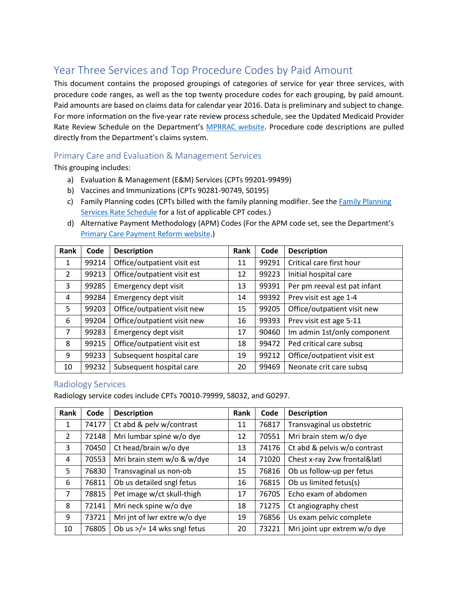# Year Three Services and Top Procedure Codes by Paid Amount

This document contains the proposed groupings of categories of service for year three services, with procedure code ranges, as well as the top twenty procedure codes for each grouping, by paid amount. Paid amounts are based on claims data for calendar year 2016. Data is preliminary and subject to change. For more information on the five-year rate review process schedule, see the Updated Medicaid Provider Rate Review Schedule on the Department's **MPRRAC website**. Procedure code descriptions are pulled directly from the Department's claims system.

### Primary Care and Evaluation & Management Services

This grouping includes:

- a) Evaluation & Management (E&M) Services (CPTs 99201-99499)
- b) Vaccines and Immunizations (CPTs 90281-90749, S0195)
- c) [Family Planning](https://www.colorado.gov/pacific/sites/default/files/Family%20Planning%20Rate%20Schedule%20FY2017-18%20Final1.pdf) codes (CPTs billed with the family planning modifier. See the Family Planning [Services Rate Schedule](https://www.colorado.gov/pacific/sites/default/files/Family%20Planning%20Rate%20Schedule%20FY2017-18%20Final1.pdf) for a list of applicable CPT codes.)
- d) Alternative Payment Methodology (APM) Codes (For the APM code set, see the Department's [Primary Care Payment Reform website.](https://www.colorado.gov/pacific/hcpf/primary-care-payment-reform-3))

| Rank           | Code  | <b>Description</b>          | Rank | Code  | <b>Description</b>           |
|----------------|-------|-----------------------------|------|-------|------------------------------|
| 1              | 99214 | Office/outpatient visit est | 11   | 99291 | Critical care first hour     |
| $\overline{2}$ | 99213 | Office/outpatient visit est | 12   | 99223 | Initial hospital care        |
| 3              | 99285 | Emergency dept visit        | 13   | 99391 | Per pm reeval est pat infant |
| 4              | 99284 | Emergency dept visit        | 14   | 99392 | Prev visit est age 1-4       |
| 5              | 99203 | Office/outpatient visit new | 15   | 99205 | Office/outpatient visit new  |
| 6              | 99204 | Office/outpatient visit new | 16   | 99393 | Prev visit est age 5-11      |
| $\overline{7}$ | 99283 | Emergency dept visit        | 17   | 90460 | Im admin 1st/only component  |
| 8              | 99215 | Office/outpatient visit est | 18   | 99472 | Ped critical care subsq      |
| 9              | 99233 | Subsequent hospital care    | 19   | 99212 | Office/outpatient visit est  |
| 10             | 99232 | Subsequent hospital care    | 20   | 99469 | Neonate crit care subsq      |

#### Radiology Services

Radiology service codes include CPTs 70010-79999, S8032, and G0297.

| Rank           | Code  | <b>Description</b>                    | Rank | Code  | <b>Description</b>           |
|----------------|-------|---------------------------------------|------|-------|------------------------------|
| 1              | 74177 | Ct abd & pelv w/contrast              | 11   | 76817 | Transvaginal us obstetric    |
| $\overline{2}$ | 72148 | Mri lumbar spine w/o dye              | 12   | 70551 | Mri brain stem w/o dye       |
| 3              | 70450 | Ct head/brain w/o dye                 | 13   | 74176 | Ct abd & pelvis w/o contrast |
| 4              | 70553 | Mri brain stem w/o & w/dye            | 14   | 71020 | Chest x-ray 2vw frontal&latl |
| 5              | 76830 | Transvaginal us non-ob                | 15   | 76816 | Ob us follow-up per fetus    |
| 6              | 76811 | Ob us detailed sngl fetus             | 16   | 76815 | Ob us limited fetus(s)       |
| $\overline{7}$ | 78815 | Pet image w/ct skull-thigh            | 17   | 76705 | Echo exam of abdomen         |
| 8              | 72141 | Mri neck spine w/o dye                | 18   | 71275 | Ct angiography chest         |
| 9              | 73721 | Mri jnt of lwr extre w/o dye          | 19   | 76856 | Us exam pelvic complete      |
| 10             | 76805 | Ob us $\frac{5}{2}$ 14 wks sngl fetus | 20   | 73221 | Mri joint upr extrem w/o dye |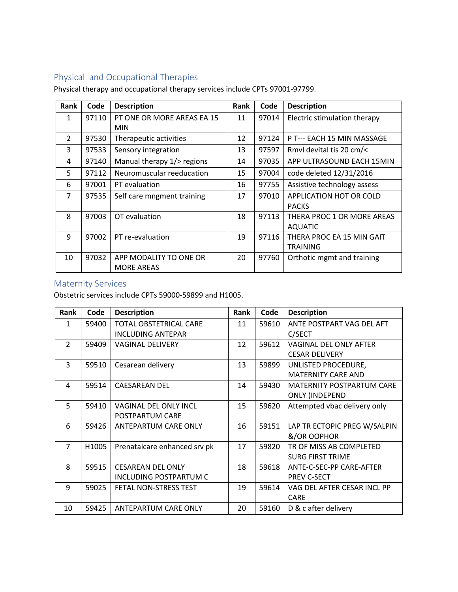## Physical and Occupational Therapies

Physical therapy and occupational therapy services include CPTs 97001-97799.

| Rank           | Code  | <b>Description</b>         | <b>Rank</b> | Code  | <b>Description</b>           |
|----------------|-------|----------------------------|-------------|-------|------------------------------|
| 1              | 97110 | PT ONE OR MORE AREAS EA 15 | 11          | 97014 | Electric stimulation therapy |
|                |       | <b>MIN</b>                 |             |       |                              |
| $\overline{2}$ | 97530 | Therapeutic activities     | 12          | 97124 | P T--- EACH 15 MIN MASSAGE   |
| 3              | 97533 | Sensory integration        | 13          | 97597 | Rmyl devital tis 20 cm/<     |
| 4              | 97140 | Manual therapy 1/> regions | 14          | 97035 | APP ULTRASOUND EACH 15MIN    |
| 5              | 97112 | Neuromuscular reeducation  | 15          | 97004 | code deleted 12/31/2016      |
| 6              | 97001 | PT evaluation              | 16          | 97755 | Assistive technology assess  |
| $\overline{7}$ | 97535 | Self care mngment training | 17          | 97010 | APPLICATION HOT OR COLD      |
|                |       |                            |             |       | <b>PACKS</b>                 |
| 8              | 97003 | OT evaluation              | 18          | 97113 | THERA PROC 1 OR MORE AREAS   |
|                |       |                            |             |       | AQUATIC                      |
| 9              | 97002 | PT re-evaluation           | 19          | 97116 | THERA PROC EA 15 MIN GAIT    |
|                |       |                            |             |       | <b>TRAINING</b>              |
| 10             | 97032 | APP MODALITY TO ONE OR     | 20          | 97760 | Orthotic mgmt and training   |
|                |       | <b>MORE AREAS</b>          |             |       |                              |

### Maternity Services

Obstetric services include CPTs 59000-59899 and H1005.

| Rank           | Code  | <b>Description</b>            | Rank | Code  | <b>Description</b>               |
|----------------|-------|-------------------------------|------|-------|----------------------------------|
| $\mathbf{1}$   | 59400 | <b>TOTAL OBSTETRICAL CARE</b> | 11   | 59610 | ANTE POSTPART VAG DEL AFT        |
|                |       | <b>INCLUDING ANTEPAR</b>      |      |       | C/SECT                           |
| $\mathcal{P}$  | 59409 | <b>VAGINAL DELIVERY</b>       | 12   | 59612 | VAGINAL DEL ONLY AFTER           |
|                |       |                               |      |       | <b>CESAR DELIVERY</b>            |
| 3              | 59510 | Cesarean delivery             | 13   | 59899 | UNLISTED PROCEDURE,              |
|                |       |                               |      |       | <b>MATERNITY CARE AND</b>        |
| 4              | 59514 | <b>CAESAREAN DEL</b>          | 14   | 59430 | <b>MATERNITY POSTPARTUM CARE</b> |
|                |       |                               |      |       | <b>ONLY (INDEPEND</b>            |
| 5.             | 59410 | <b>VAGINAL DEL ONLY INCL</b>  | 15   | 59620 | Attempted vbac delivery only     |
|                |       | POSTPARTUM CARE               |      |       |                                  |
| 6              | 59426 | <b>ANTEPARTUM CARE ONLY</b>   | 16   | 59151 | LAP TR ECTOPIC PREG W/SALPIN     |
|                |       |                               |      |       | &/OR OOPHOR                      |
| $\overline{7}$ | H1005 | Prenatalcare enhanced srv pk  | 17   | 59820 | TR OF MISS AB COMPLETED          |
|                |       |                               |      |       | <b>SURG FIRST TRIME</b>          |
| 8              | 59515 | <b>CESAREAN DEL ONLY</b>      | 18   | 59618 | ANTE-C-SEC-PP CARE-AFTER         |
|                |       | <b>INCLUDING POSTPARTUM C</b> |      |       | PREV C-SECT                      |
| 9              | 59025 | FETAL NON-STRESS TEST         | 19   | 59614 | VAG DEL AFTER CESAR INCL PP      |
|                |       |                               |      |       | <b>CARE</b>                      |
| 10             | 59425 | <b>ANTEPARTUM CARE ONLY</b>   | 20   | 59160 | D & c after delivery             |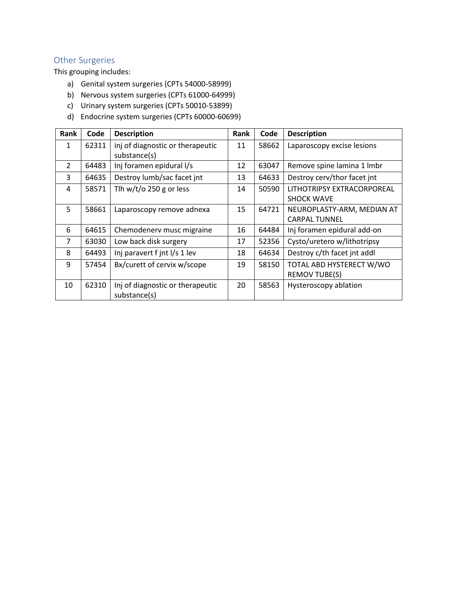## Other Surgeries

This grouping includes:

- a) Genital system surgeries (CPTs 54000-58999)
- b) Nervous system surgeries (CPTs 61000-64999)
- c) Urinary system surgeries (CPTs 50010-53899)
- d) Endocrine system surgeries (CPTs 60000-60699)

| Rank           | Code  | <b>Description</b>               | Rank | Code  | <b>Description</b>          |
|----------------|-------|----------------------------------|------|-------|-----------------------------|
| 1              | 62311 | inj of diagnostic or therapeutic | 11   | 58662 | Laparoscopy excise lesions  |
|                |       | substance(s)                     |      |       |                             |
| $\mathcal{P}$  | 64483 | Inj foramen epidural I/s         | 12   | 63047 | Remove spine lamina 1 Imbr  |
| 3              | 64635 | Destroy lumb/sac facet int       | 13   | 64633 | Destroy cerv/thor facet int |
| 4              | 58571 | Tlh w/t/o 250 g or less          | 14   | 50590 | LITHOTRIPSY EXTRACORPOREAL  |
|                |       |                                  |      |       | <b>SHOCK WAVE</b>           |
| 5.             | 58661 | Laparoscopy remove adnexa        | 15   | 64721 | NEUROPLASTY-ARM, MEDIAN AT  |
|                |       |                                  |      |       | <b>CARPAL TUNNEL</b>        |
| 6              | 64615 | Chemodenerv musc migraine        | 16   | 64484 | Inj foramen epidural add-on |
| $\overline{7}$ | 63030 | Low back disk surgery            | 17   | 52356 | Cysto/uretero w/lithotripsy |
| 8              | 64493 | Inj paravert f jnt I/s 1 lev     | 18   | 64634 | Destroy c/th facet int addl |
| 9              | 57454 | Bx/curett of cervix w/scope      | 19   | 58150 | TOTAL ABD HYSTERECT W/WO    |
|                |       |                                  |      |       | <b>REMOV TUBE(S)</b>        |
| 10             | 62310 | Inj of diagnostic or therapeutic | 20   | 58563 | Hysteroscopy ablation       |
|                |       | substance(s)                     |      |       |                             |